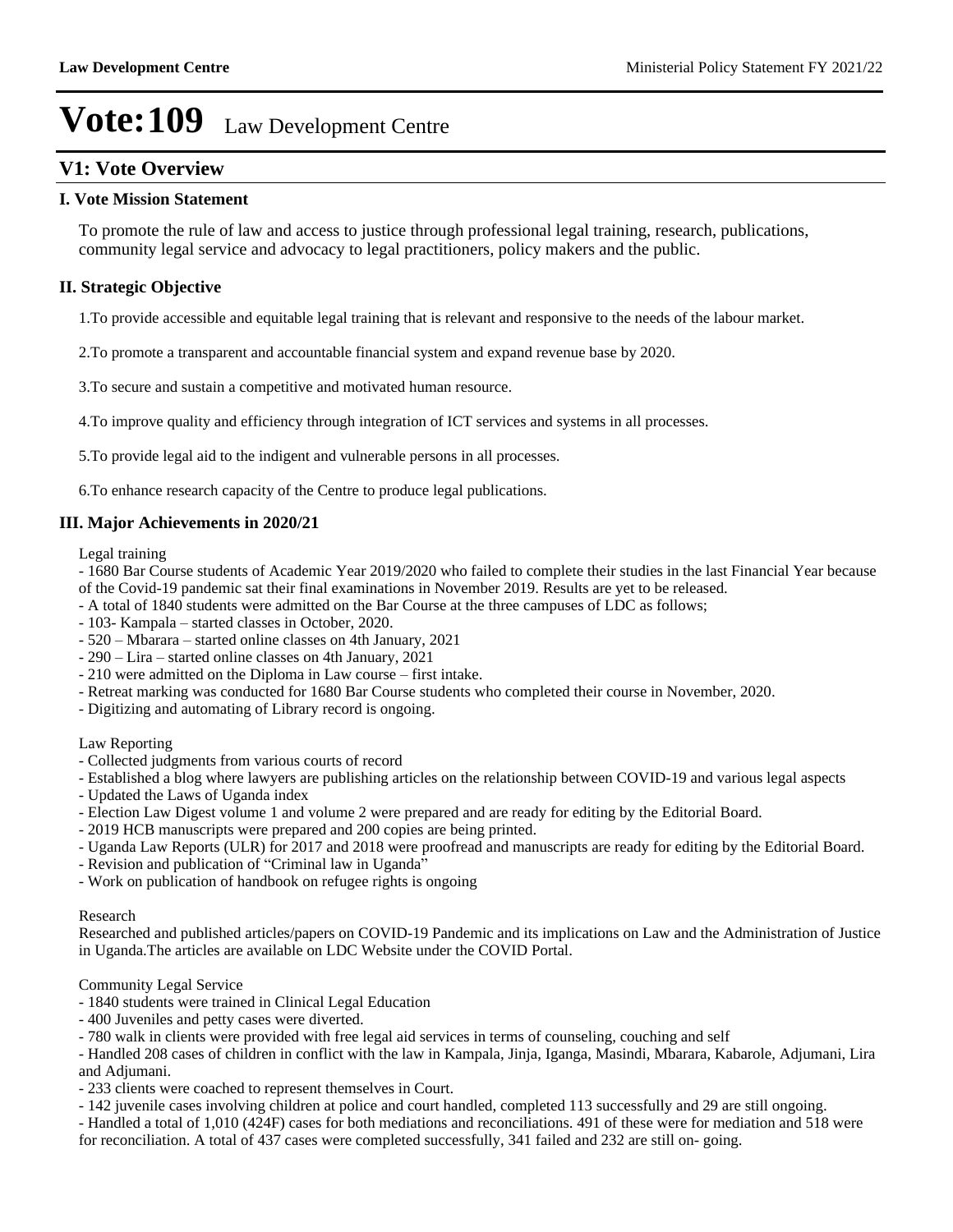## **V1: Vote Overview**

### **I. Vote Mission Statement**

To promote the rule of law and access to justice through professional legal training, research, publications, community legal service and advocacy to legal practitioners, policy makers and the public.

## **II. Strategic Objective**

1.To provide accessible and equitable legal training that is relevant and responsive to the needs of the labour market.

2.To promote a transparent and accountable financial system and expand revenue base by 2020.

3.To secure and sustain a competitive and motivated human resource.

4.To improve quality and efficiency through integration of ICT services and systems in all processes.

5.To provide legal aid to the indigent and vulnerable persons in all processes.

6.To enhance research capacity of the Centre to produce legal publications.

### **III. Major Achievements in 2020/21**

Legal training

- 1680 Bar Course students of Academic Year 2019/2020 who failed to complete their studies in the last Financial Year because of the Covid-19 pandemic sat their final examinations in November 2019. Results are yet to be released.

- A total of 1840 students were admitted on the Bar Course at the three campuses of LDC as follows;

- 103- Kampala started classes in October, 2020.
- $-520$  Mbarara started online classes on 4th January, 2021
- $290$  Lira started online classes on 4th January, 2021
- $210$  were admitted on the Diploma in Law course  $-$  first intake.
- Retreat marking was conducted for 1680 Bar Course students who completed their course in November, 2020.
- Digitizing and automating of Library record is ongoing.

### Law Reporting

- Collected judgments from various courts of record
- Established a blog where lawyers are publishing articles on the relationship between COVID-19 and various legal aspects
- Updated the Laws of Uganda index
- Election Law Digest volume 1 and volume 2 were prepared and are ready for editing by the Editorial Board.
- 2019 HCB manuscripts were prepared and 200 copies are being printed.
- Uganda Law Reports (ULR) for 2017 and 2018 were proofread and manuscripts are ready for editing by the Editorial Board.
- Revision and publication of "Criminal law in Uganda"
- Work on publication of handbook on refugee rights is ongoing

#### Research

Researched and published articles/papers on COVID-19 Pandemic and its implications on Law and the Administration of Justice in Uganda.The articles are available on LDC Website under the COVID Portal.

Community Legal Service

- 1840 students were trained in Clinical Legal Education
- 400 Juveniles and petty cases were diverted.
- 780 walk in clients were provided with free legal aid services in terms of counseling, couching and self

- Handled 208 cases of children in conflict with the law in Kampala, Jinja, Iganga, Masindi, Mbarara, Kabarole, Adjumani, Lira and Adjumani.

- 233 clients were coached to represent themselves in Court.

- 142 juvenile cases involving children at police and court handled, completed 113 successfully and 29 are still ongoing.

- Handled a total of 1,010 (424F) cases for both mediations and reconciliations. 491 of these were for mediation and 518 were for reconciliation. A total of 437 cases were completed successfully, 341 failed and 232 are still on- going.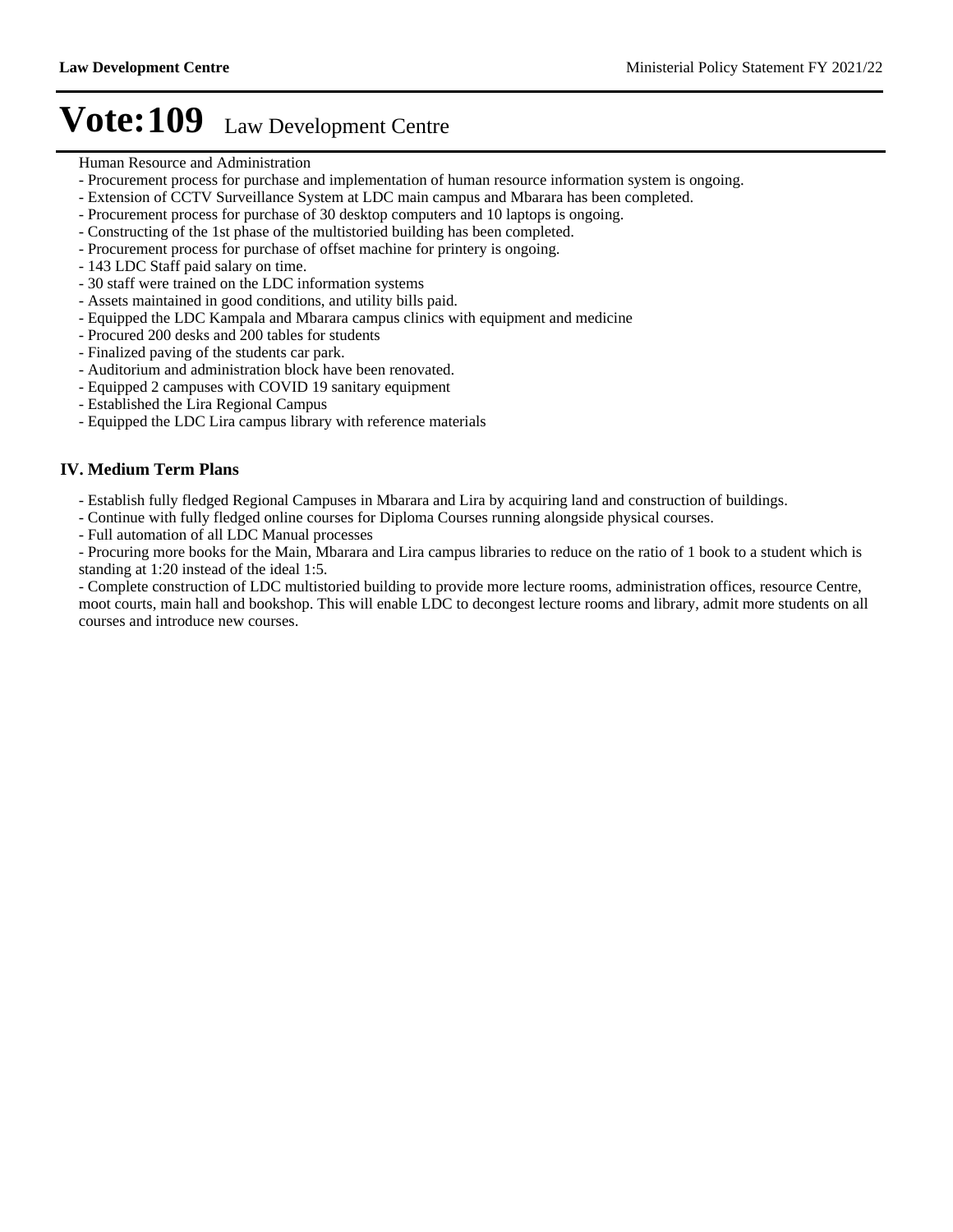- Human Resource and Administration
- Procurement process for purchase and implementation of human resource information system is ongoing.
- Extension of CCTV Surveillance System at LDC main campus and Mbarara has been completed.
- Procurement process for purchase of 30 desktop computers and 10 laptops is ongoing.
- Constructing of the 1st phase of the multistoried building has been completed.
- Procurement process for purchase of offset machine for printery is ongoing.
- 143 LDC Staff paid salary on time.
- 30 staff were trained on the LDC information systems
- Assets maintained in good conditions, and utility bills paid.
- Equipped the LDC Kampala and Mbarara campus clinics with equipment and medicine
- Procured 200 desks and 200 tables for students
- Finalized paving of the students car park.
- Auditorium and administration block have been renovated.
- Equipped 2 campuses with COVID 19 sanitary equipment
- Established the Lira Regional Campus
- Equipped the LDC Lira campus library with reference materials

### **IV. Medium Term Plans**

- Establish fully fledged Regional Campuses in Mbarara and Lira by acquiring land and construction of buildings.
- Continue with fully fledged online courses for Diploma Courses running alongside physical courses.
- Full automation of all LDC Manual processes

- Procuring more books for the Main, Mbarara and Lira campus libraries to reduce on the ratio of 1 book to a student which is standing at 1:20 instead of the ideal 1:5.

- Complete construction of LDC multistoried building to provide more lecture rooms, administration offices, resource Centre, moot courts, main hall and bookshop. This will enable LDC to decongest lecture rooms and library, admit more students on all courses and introduce new courses.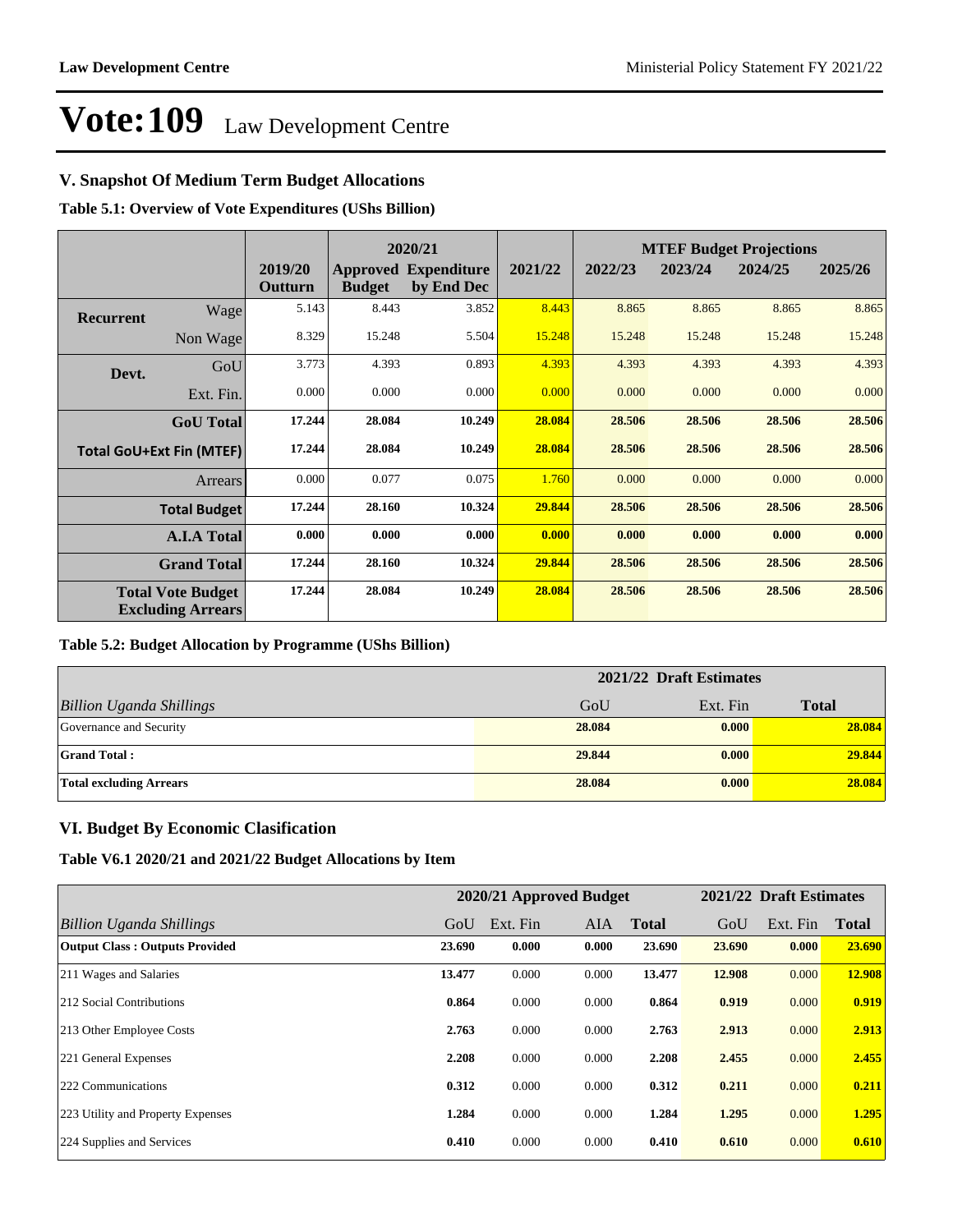## **V. Snapshot Of Medium Term Budget Allocations**

**Table 5.1: Overview of Vote Expenditures (UShs Billion)**

|                  |                                                      | 2020/21            |               |                                           |         | <b>MTEF Budget Projections</b> |         |         |         |
|------------------|------------------------------------------------------|--------------------|---------------|-------------------------------------------|---------|--------------------------------|---------|---------|---------|
|                  |                                                      | 2019/20<br>Outturn | <b>Budget</b> | <b>Approved Expenditure</b><br>by End Dec | 2021/22 | 2022/23                        | 2023/24 | 2024/25 | 2025/26 |
| <b>Recurrent</b> | Wage                                                 | 5.143              | 8.443         | 3.852                                     | 8.443   | 8.865                          | 8.865   | 8.865   | 8.865   |
|                  | Non Wage                                             | 8.329              | 15.248        | 5.504                                     | 15.248  | 15.248                         | 15.248  | 15.248  | 15.248  |
| Devt.            | GoU                                                  | 3.773              | 4.393         | 0.893                                     | 4.393   | 4.393                          | 4.393   | 4.393   | 4.393   |
|                  | Ext. Fin.                                            | 0.000              | 0.000         | 0.000                                     | 0.000   | 0.000                          | 0.000   | 0.000   | 0.000   |
|                  | <b>GoU</b> Total                                     | 17.244             | 28.084        | 10.249                                    | 28.084  | 28.506                         | 28.506  | 28.506  | 28.506  |
|                  | <b>Total GoU+Ext Fin (MTEF)</b>                      | 17.244             | 28.084        | 10.249                                    | 28.084  | 28.506                         | 28.506  | 28.506  | 28.506  |
|                  | Arrears                                              | 0.000              | 0.077         | 0.075                                     | 1.760   | 0.000                          | 0.000   | 0.000   | 0.000   |
|                  | <b>Total Budget</b>                                  | 17.244             | 28.160        | 10.324                                    | 29.844  | 28.506                         | 28.506  | 28.506  | 28.506  |
|                  | <b>A.I.A Total</b>                                   | 0.000              | 0.000         | 0.000                                     | 0.000   | 0.000                          | 0.000   | 0.000   | 0.000   |
|                  | <b>Grand Total</b>                                   | 17.244             | 28.160        | 10.324                                    | 29.844  | 28.506                         | 28.506  | 28.506  | 28.506  |
|                  | <b>Total Vote Budget</b><br><b>Excluding Arrears</b> | 17.244             | 28.084        | 10.249                                    | 28.084  | 28.506                         | 28.506  | 28.506  | 28.506  |

### **Table 5.2: Budget Allocation by Programme (UShs Billion)**

|                                 | 2021/22 Draft Estimates |          |              |
|---------------------------------|-------------------------|----------|--------------|
| <b>Billion Uganda Shillings</b> | GoU                     | Ext. Fin | <b>Total</b> |
| Governance and Security         | 28.084                  | 0.000    | 28.084       |
| <b>Grand Total:</b>             | 29.844                  | 0.000    | 29.844       |
| <b>Total excluding Arrears</b>  | 28.084                  | 0.000    | 28.084       |

## **VI. Budget By Economic Clasification**

**Table V6.1 2020/21 and 2021/22 Budget Allocations by Item**

|                                       |        | 2020/21 Approved Budget |            |              |        | 2021/22 Draft Estimates |              |
|---------------------------------------|--------|-------------------------|------------|--------------|--------|-------------------------|--------------|
| Billion Uganda Shillings              | GoU    | Ext. Fin                | <b>AIA</b> | <b>Total</b> | GoU    | Ext. Fin                | <b>Total</b> |
| <b>Output Class: Outputs Provided</b> | 23.690 | 0.000                   | 0.000      | 23.690       | 23.690 | 0.000                   | 23.690       |
| 211 Wages and Salaries                | 13.477 | 0.000                   | 0.000      | 13.477       | 12.908 | 0.000                   | 12.908       |
| 212 Social Contributions              | 0.864  | 0.000                   | 0.000      | 0.864        | 0.919  | 0.000                   | 0.919        |
| 213 Other Employee Costs              | 2.763  | 0.000                   | 0.000      | 2.763        | 2.913  | 0.000                   | 2.913        |
| 221 General Expenses                  | 2.208  | 0.000                   | 0.000      | 2.208        | 2.455  | 0.000                   | 2.455        |
| 222 Communications                    | 0.312  | 0.000                   | 0.000      | 0.312        | 0.211  | 0.000                   | 0.211        |
| 223 Utility and Property Expenses     | 1.284  | 0.000                   | 0.000      | 1.284        | 1.295  | 0.000                   | 1.295        |
| 224 Supplies and Services             | 0.410  | 0.000                   | 0.000      | 0.410        | 0.610  | 0.000                   | 0.610        |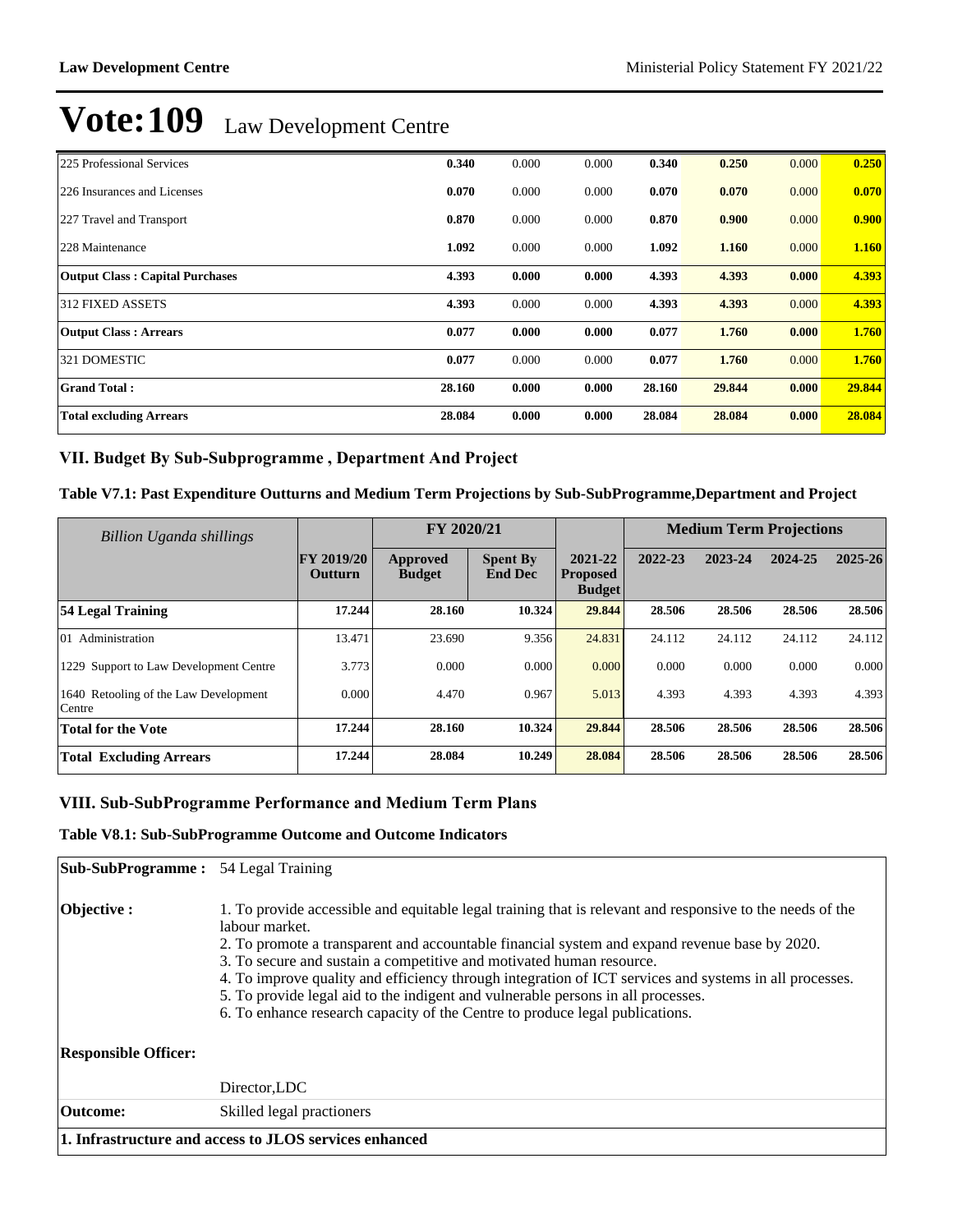| 225 Professional Services              | 0.340  | 0.000 | 0.000 | 0.340  | 0.250  | 0.000 | 0.250  |
|----------------------------------------|--------|-------|-------|--------|--------|-------|--------|
| 226 Insurances and Licenses            | 0.070  | 0.000 | 0.000 | 0.070  | 0.070  | 0.000 | 0.070  |
| 227 Travel and Transport               | 0.870  | 0.000 | 0.000 | 0.870  | 0.900  | 0.000 | 0.900  |
| 228 Maintenance                        | 1.092  | 0.000 | 0.000 | 1.092  | 1.160  | 0.000 | 1.160  |
| <b>Output Class: Capital Purchases</b> | 4.393  | 0.000 | 0.000 | 4.393  | 4.393  | 0.000 | 4.393  |
| <b>312 FIXED ASSETS</b>                | 4.393  | 0.000 | 0.000 | 4.393  | 4.393  | 0.000 | 4.393  |
| <b>Output Class: Arrears</b>           | 0.077  | 0.000 | 0.000 | 0.077  | 1.760  | 0.000 | 1.760  |
| 321 DOMESTIC                           | 0.077  | 0.000 | 0.000 | 0.077  | 1.760  | 0.000 | 1.760  |
| <b>Grand Total:</b>                    | 28.160 | 0.000 | 0.000 | 28.160 | 29.844 | 0.000 | 29.844 |
| <b>Total excluding Arrears</b>         | 28.084 | 0.000 | 0.000 | 28.084 | 28.084 | 0.000 | 28.084 |

## VII. Budget By Sub-Subprogramme, Department And Project

### **Table V7.1: Past Expenditure Outturns and Medium Term Projections by Sub-SubProgramme,Department and Project**

| Billion Uganda shillings                        |                              | FY 2020/21                |                                   |                                             | <b>Medium Term Projections</b> |         |         |         |
|-------------------------------------------------|------------------------------|---------------------------|-----------------------------------|---------------------------------------------|--------------------------------|---------|---------|---------|
|                                                 | <b>FY 2019/20</b><br>Outturn | Approved<br><b>Budget</b> | <b>Spent By</b><br><b>End Dec</b> | 2021-22<br><b>Proposed</b><br><b>Budget</b> | 2022-23                        | 2023-24 | 2024-25 | 2025-26 |
| 54 Legal Training                               | 17.244                       | 28.160                    | 10.324                            | 29.844                                      | 28.506                         | 28.506  | 28.506  | 28.506  |
| 01 Administration                               | 13.471                       | 23.690                    | 9.356                             | 24.831                                      | 24.112                         | 24.112  | 24.112  | 24.112  |
| 1229 Support to Law Development Centre          | 3.773                        | 0.000                     | 0.000                             | 0.000                                       | 0.000                          | 0.000   | 0.000   | 0.000   |
| 1640 Retooling of the Law Development<br>Centre | 0.000                        | 4.470                     | 0.967                             | 5.013                                       | 4.393                          | 4.393   | 4.393   | 4.393   |
| <b>Total for the Vote</b>                       | 17.244                       | 28.160                    | 10.324                            | 29.844                                      | 28.506                         | 28.506  | 28.506  | 28.506  |
| <b>Total Excluding Arrears</b>                  | 17.244                       | 28.084                    | 10.249                            | 28.084                                      | 28.506                         | 28.506  | 28.506  | 28.506  |

### VIII. Sub-SubProgramme Performance and Medium Term Plans

### **Table V8.1: Sub-SubProgramme Outcome and Outcome Indicators**

| <b>Sub-SubProgramme:</b> 54 Legal Training |                                                                                                                                                                                                                                                                                                                                                                                                                                                                                                                                                                                    |
|--------------------------------------------|------------------------------------------------------------------------------------------------------------------------------------------------------------------------------------------------------------------------------------------------------------------------------------------------------------------------------------------------------------------------------------------------------------------------------------------------------------------------------------------------------------------------------------------------------------------------------------|
| Objective :                                | 1. To provide accessible and equitable legal training that is relevant and responsive to the needs of the<br>labour market.<br>2. To promote a transparent and accountable financial system and expand revenue base by 2020.<br>3. To secure and sustain a competitive and motivated human resource.<br>4. To improve quality and efficiency through integration of ICT services and systems in all processes.<br>5. To provide legal aid to the indigent and vulnerable persons in all processes.<br>6. To enhance research capacity of the Centre to produce legal publications. |
| <b>Responsible Officer:</b>                |                                                                                                                                                                                                                                                                                                                                                                                                                                                                                                                                                                                    |
|                                            | Director, LDC                                                                                                                                                                                                                                                                                                                                                                                                                                                                                                                                                                      |
| Outcome:                                   | Skilled legal practioners                                                                                                                                                                                                                                                                                                                                                                                                                                                                                                                                                          |
|                                            | 1. Infrastructure and access to JLOS services enhanced                                                                                                                                                                                                                                                                                                                                                                                                                                                                                                                             |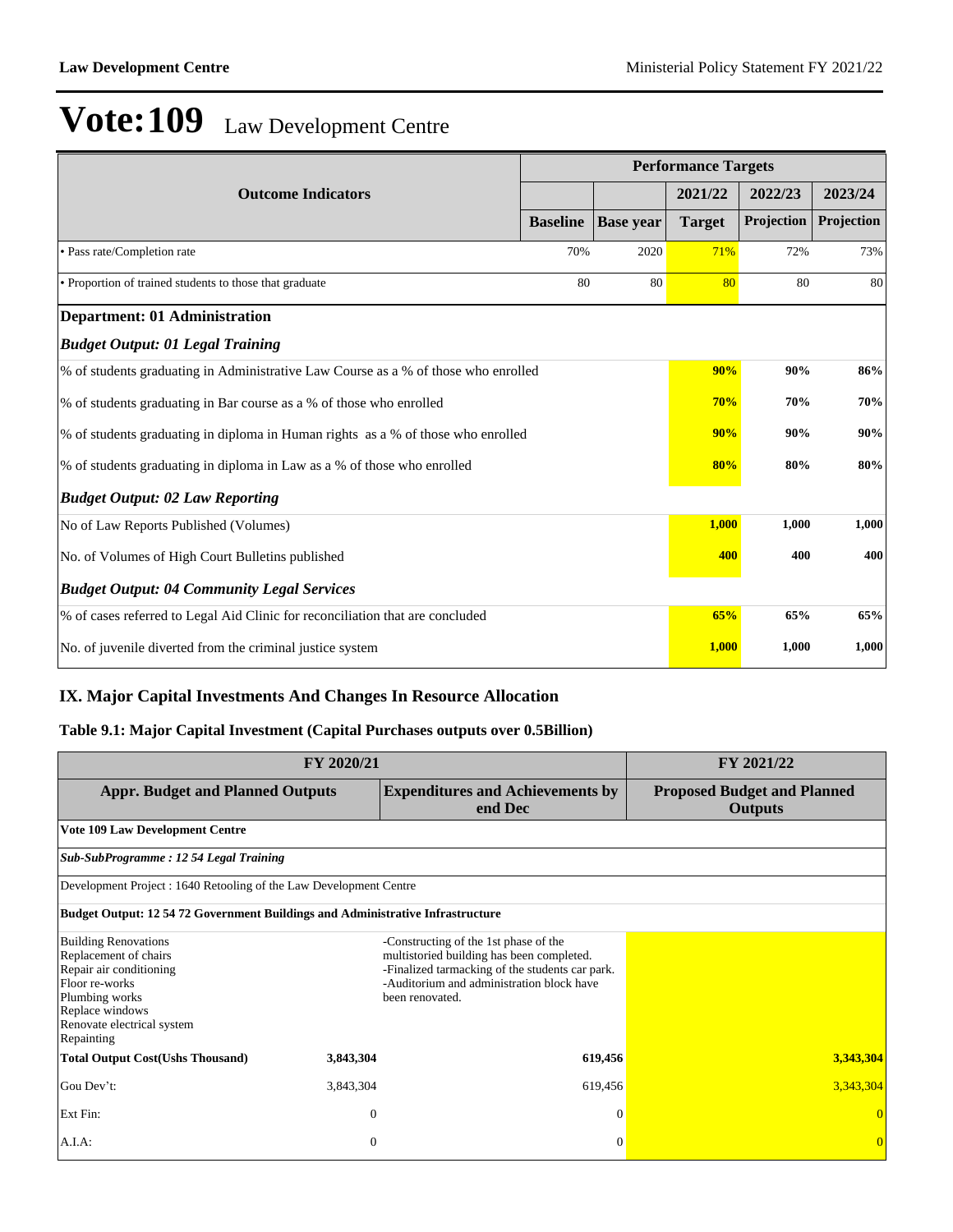|                                                                                    |                 |                  | <b>Performance Targets</b> |            |            |
|------------------------------------------------------------------------------------|-----------------|------------------|----------------------------|------------|------------|
| <b>Outcome Indicators</b>                                                          |                 |                  | 2021/22                    | 2022/23    | 2023/24    |
|                                                                                    | <b>Baseline</b> | <b>Base year</b> | <b>Target</b>              | Projection | Projection |
| • Pass rate/Completion rate                                                        | 70%             | 2020             | 71%                        | 72%        | 73%        |
| • Proportion of trained students to those that graduate                            | 80              | 80               | 80                         | 80         | 80         |
| <b>Department: 01 Administration</b>                                               |                 |                  |                            |            |            |
| <b>Budget Output: 01 Legal Training</b>                                            |                 |                  |                            |            |            |
| % of students graduating in Administrative Law Course as a % of those who enrolled | 90%             | 90%              | 86%                        |            |            |
| % of students graduating in Bar course as a % of those who enrolled                | <b>70%</b>      | 70%              | 70%                        |            |            |
| % of students graduating in diploma in Human rights as a % of those who enrolled   | 90%             | 90%              | 90%                        |            |            |
| % of students graduating in diploma in Law as a % of those who enrolled            | 80%             | 80%              | 80%                        |            |            |
| <b>Budget Output: 02 Law Reporting</b>                                             |                 |                  |                            |            |            |
| No of Law Reports Published (Volumes)                                              |                 |                  | 1,000                      | 1,000      | 1,000      |
| No. of Volumes of High Court Bulletins published                                   | 400             | 400              | 400                        |            |            |
| <b>Budget Output: 04 Community Legal Services</b>                                  |                 |                  |                            |            |            |
| % of cases referred to Legal Aid Clinic for reconciliation that are concluded      |                 |                  |                            |            |            |
| No. of juvenile diverted from the criminal justice system                          |                 |                  | 1,000                      | 1,000      | 1,000      |

## **IX. Major Capital Investments And Changes In Resource Allocation**

## **Table 9.1: Major Capital Investment (Capital Purchases outputs over 0.5Billion)**

|                                                                                                                                                                                    | FY 2021/22     |                                                                                                                                                                                                       |                                                      |
|------------------------------------------------------------------------------------------------------------------------------------------------------------------------------------|----------------|-------------------------------------------------------------------------------------------------------------------------------------------------------------------------------------------------------|------------------------------------------------------|
| <b>Appr. Budget and Planned Outputs</b>                                                                                                                                            |                | <b>Expenditures and Achievements by</b><br>end Dec                                                                                                                                                    | <b>Proposed Budget and Planned</b><br><b>Outputs</b> |
| <b>Vote 109 Law Development Centre</b>                                                                                                                                             |                |                                                                                                                                                                                                       |                                                      |
| Sub-SubProgramme: 12 54 Legal Training                                                                                                                                             |                |                                                                                                                                                                                                       |                                                      |
| Development Project : 1640 Retooling of the Law Development Centre                                                                                                                 |                |                                                                                                                                                                                                       |                                                      |
| <b>Budget Output: 12 54 72 Government Buildings and Administrative Infrastructure</b>                                                                                              |                |                                                                                                                                                                                                       |                                                      |
| <b>Building Renovations</b><br>Replacement of chairs<br>Repair air conditioning<br>Floor re-works<br>Plumbing works<br>Replace windows<br>Renovate electrical system<br>Repainting |                | -Constructing of the 1st phase of the<br>multistoried building has been completed.<br>-Finalized tarmacking of the students car park.<br>-Auditorium and administration block have<br>been renovated. |                                                      |
| <b>Total Output Cost(Ushs Thousand)</b>                                                                                                                                            | 3,843,304      | 619,456                                                                                                                                                                                               | 3,343,304                                            |
| Gou Dev't:                                                                                                                                                                         | 3,843,304      | 619,456                                                                                                                                                                                               | 3,343,304                                            |
| Ext Fin:                                                                                                                                                                           | $\overline{0}$ | $\Omega$                                                                                                                                                                                              |                                                      |
| A.I.A.                                                                                                                                                                             | $\mathbf{0}$   | $\Omega$                                                                                                                                                                                              | $\overline{0}$                                       |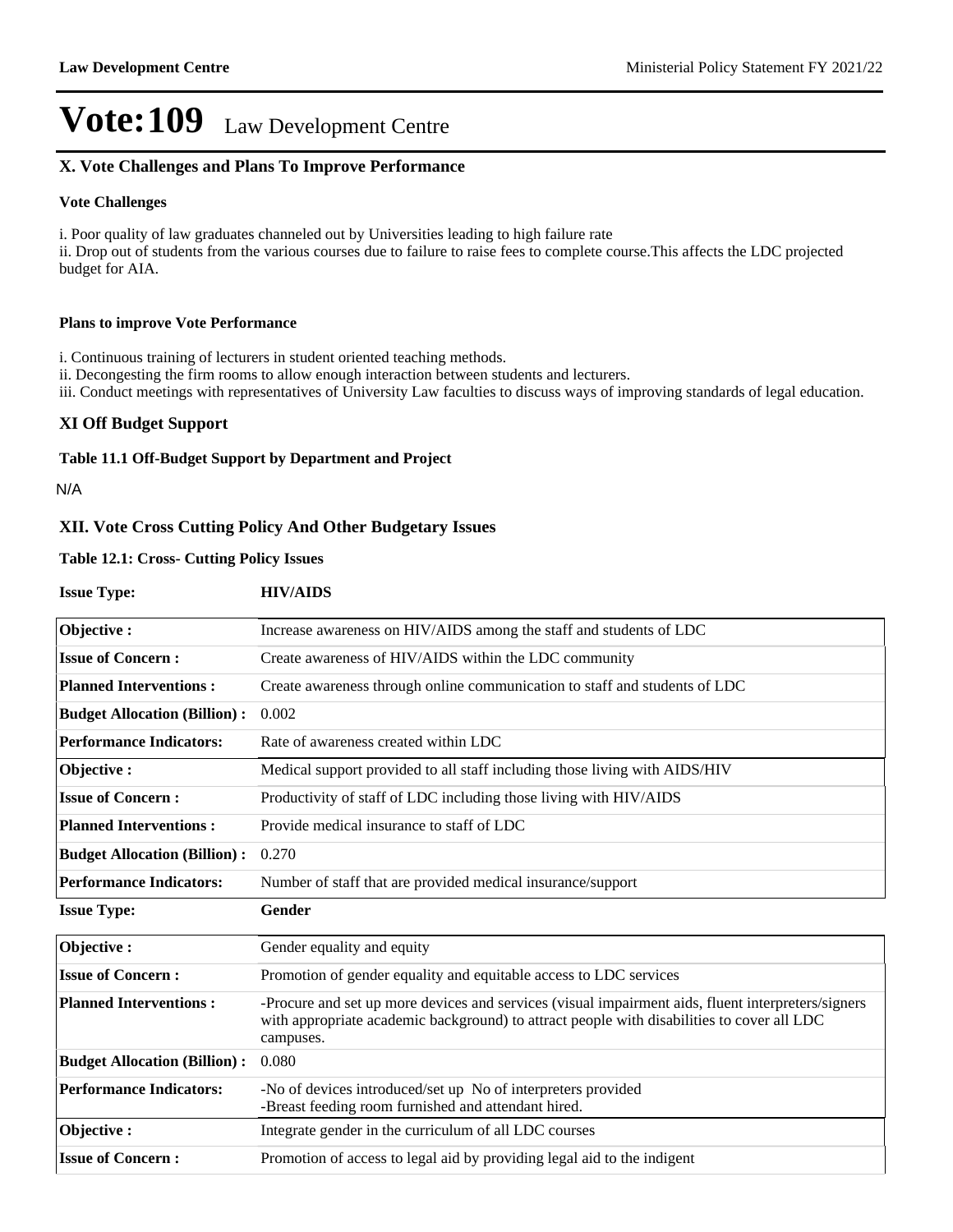## **X. Vote Challenges and Plans To Improve Performance**

### **Vote Challenges**

i. Poor quality of law graduates channeled out by Universities leading to high failure rate ii. Drop out of students from the various courses due to failure to raise fees to complete course.This affects the LDC projected budget for AIA.

#### **Plans to improve Vote Performance**

i. Continuous training of lecturers in student oriented teaching methods.

ii. Decongesting the firm rooms to allow enough interaction between students and lecturers.

iii. Conduct meetings with representatives of University Law faculties to discuss ways of improving standards of legal education.

### **XI Off Budget Support**

#### **Table 11.1 Off-Budget Support by Department and Project**

N/A

### **XII. Vote Cross Cutting Policy And Other Budgetary Issues**

### **Table 12.1: Cross- Cutting Policy Issues**

| <b>Issue Type:</b>                  | <b>HIV/AIDS</b>                                                                                                                                                                                               |
|-------------------------------------|---------------------------------------------------------------------------------------------------------------------------------------------------------------------------------------------------------------|
| Objective:                          | Increase awareness on HIV/AIDS among the staff and students of LDC                                                                                                                                            |
| <b>Issue of Concern:</b>            | Create awareness of HIV/AIDS within the LDC community                                                                                                                                                         |
| <b>Planned Interventions:</b>       | Create awareness through online communication to staff and students of LDC                                                                                                                                    |
| <b>Budget Allocation (Billion):</b> | 0.002                                                                                                                                                                                                         |
| <b>Performance Indicators:</b>      | Rate of awareness created within LDC                                                                                                                                                                          |
| Objective:                          | Medical support provided to all staff including those living with AIDS/HIV                                                                                                                                    |
| <b>Issue of Concern:</b>            | Productivity of staff of LDC including those living with HIV/AIDS                                                                                                                                             |
| <b>Planned Interventions:</b>       | Provide medical insurance to staff of LDC                                                                                                                                                                     |
| <b>Budget Allocation (Billion):</b> | 0.270                                                                                                                                                                                                         |
| <b>Performance Indicators:</b>      | Number of staff that are provided medical insurance/support                                                                                                                                                   |
| <b>Issue Type:</b>                  | Gender                                                                                                                                                                                                        |
| Objective:                          | Gender equality and equity                                                                                                                                                                                    |
| <b>Issue of Concern:</b>            | Promotion of gender equality and equitable access to LDC services                                                                                                                                             |
| <b>Planned Interventions:</b>       | -Procure and set up more devices and services (visual impairment aids, fluent interpreters/signers<br>with appropriate academic background) to attract people with disabilities to cover all LDC<br>campuses. |
| <b>Budget Allocation (Billion):</b> | 0.080                                                                                                                                                                                                         |
| <b>Performance Indicators:</b>      | -No of devices introduced/set up No of interpreters provided<br>-Breast feeding room furnished and attendant hired.                                                                                           |
| Objective:                          | Integrate gender in the curriculum of all LDC courses                                                                                                                                                         |
| <b>Issue of Concern:</b>            | Promotion of access to legal aid by providing legal aid to the indigent                                                                                                                                       |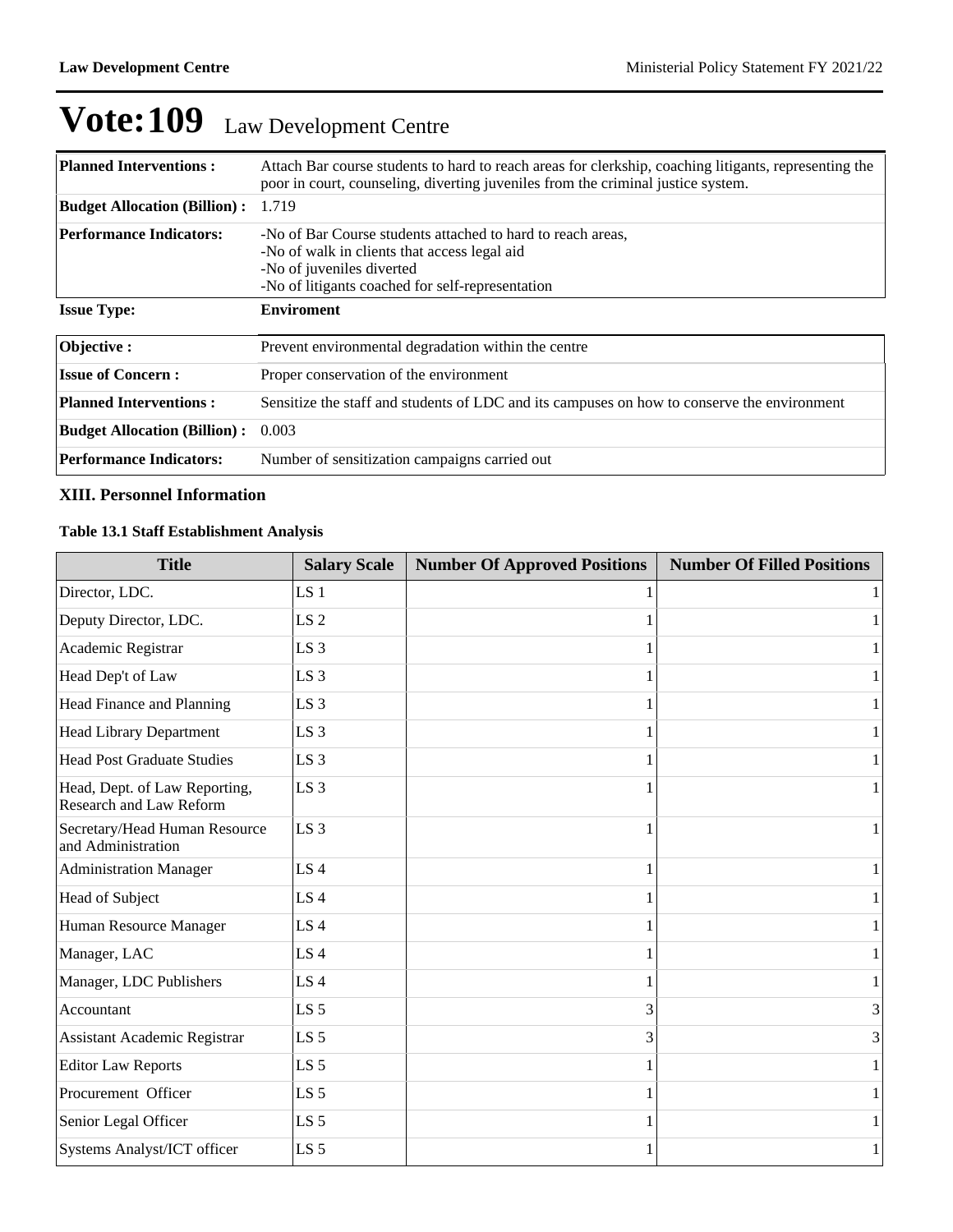| <b>Planned Interventions:</b>       | Attach Bar course students to hard to reach areas for clerkship, coaching litigants, representing the<br>poor in court, counseling, diverting juveniles from the criminal justice system.    |
|-------------------------------------|----------------------------------------------------------------------------------------------------------------------------------------------------------------------------------------------|
| <b>Budget Allocation (Billion):</b> | 1.719                                                                                                                                                                                        |
| <b>Performance Indicators:</b>      | -No of Bar Course students attached to hard to reach areas,<br>-No of walk in clients that access legal aid<br>-No of juveniles diverted<br>-No of litigants coached for self-representation |
| <b>Issue Type:</b>                  | <b>Enviroment</b>                                                                                                                                                                            |
| Objective:                          | Prevent environmental degradation within the centre                                                                                                                                          |
| <b>Issue of Concern:</b>            | Proper conservation of the environment                                                                                                                                                       |
| <b>Planned Interventions:</b>       | Sensitize the staff and students of LDC and its campuses on how to conserve the environment                                                                                                  |
| <b>Budget Allocation (Billion):</b> | 0.003                                                                                                                                                                                        |
| <b>Performance Indicators:</b>      | Number of sensitization campaigns carried out                                                                                                                                                |

### **XIII. Personnel Information**

## **Table 13.1 Staff Establishment Analysis**

| <b>Title</b>                                             | <b>Salary Scale</b> | <b>Number Of Approved Positions</b> | <b>Number Of Filled Positions</b> |
|----------------------------------------------------------|---------------------|-------------------------------------|-----------------------------------|
| Director, LDC.                                           | LS <sub>1</sub>     |                                     | $\mathbf{1}$                      |
| Deputy Director, LDC.                                    | LS <sub>2</sub>     |                                     | 1                                 |
| Academic Registrar                                       | LS <sub>3</sub>     |                                     | $\mathbf{1}$                      |
| Head Dep't of Law                                        | LS <sub>3</sub>     |                                     | $\mathbf{1}$                      |
| Head Finance and Planning                                | LS <sub>3</sub>     |                                     | $\mathbf{1}$                      |
| <b>Head Library Department</b>                           | LS <sub>3</sub>     |                                     | $\mathbf{1}$                      |
| <b>Head Post Graduate Studies</b>                        | LS <sub>3</sub>     |                                     | 1                                 |
| Head, Dept. of Law Reporting,<br>Research and Law Reform | LS <sub>3</sub>     |                                     | $\mathbf{1}$                      |
| Secretary/Head Human Resource<br>and Administration      | LS 3                |                                     | $\mathbf{1}$                      |
| <b>Administration Manager</b>                            | LS4                 |                                     | $\mathbf{1}$                      |
| Head of Subject                                          | LS <sub>4</sub>     |                                     | $\mathbf{1}$                      |
| Human Resource Manager                                   | LS <sub>4</sub>     |                                     | $\mathbf{1}$                      |
| Manager, LAC                                             | LS <sub>4</sub>     |                                     | $\mathbf{1}$                      |
| Manager, LDC Publishers                                  | LS <sub>4</sub>     |                                     | 1                                 |
| Accountant                                               | LS <sub>5</sub>     | 3                                   | 3                                 |
| <b>Assistant Academic Registrar</b>                      | LS <sub>5</sub>     | 3                                   | 3                                 |
| <b>Editor Law Reports</b>                                | LS <sub>5</sub>     |                                     | $\mathbf{1}$                      |
| Procurement Officer                                      | LS <sub>5</sub>     |                                     | $\mathbf{1}$                      |
| Senior Legal Officer                                     | LS <sub>5</sub>     |                                     | 1                                 |
| Systems Analyst/ICT officer                              | LS <sub>5</sub>     |                                     | $\mathbf{1}$                      |